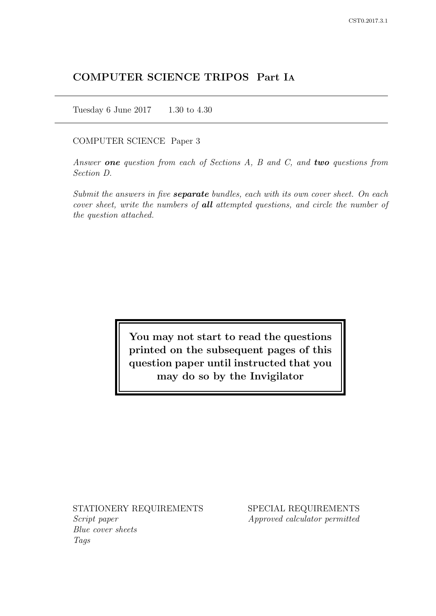# COMPUTER SCIENCE TRIPOS Part IA

Tuesday 6 June 2017 1.30 to 4.30

### COMPUTER SCIENCE Paper 3

Answer one question from each of Sections  $A$ ,  $B$  and  $C$ , and two questions from Section D.

Submit the answers in five **separate** bundles, each with its own cover sheet. On each cover sheet, write the numbers of **all** attempted questions, and circle the number of the question attached.

> You may not start to read the questions printed on the subsequent pages of this question paper until instructed that you may do so by the Invigilator

STATIONERY REQUIREMENTS Script paper

Blue cover sheets Tags

SPECIAL REQUIREMENTS Approved calculator permitted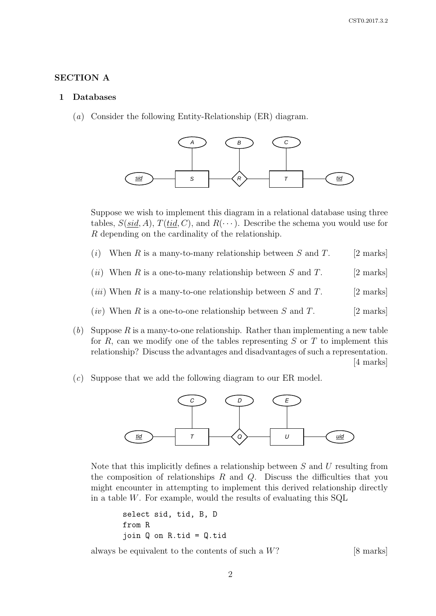### SECTION A

#### 1 Databases

(a) Consider the following Entity-Relationship (ER) diagram.



Suppose we wish to implement this diagram in a relational database using three tables,  $S(sid, A)$ ,  $T(tid, C)$ , and  $R(\cdots)$ . Describe the schema you would use for R depending on the cardinality of the relationship.

- (i) When R is a many-to-many relationship between S and T. [2 marks]
- (*ii*) When R is a one-to-many relationship between S and T. [2 marks]
- (*iii*) When R is a many-to-one relationship between S and T. [2 marks]
- (*iv*) When R is a one-to-one relationship between S and T. [2 marks]
- (b) Suppose R is a many-to-one relationship. Rather than implementing a new table for R, can we modify one of the tables representing  $S$  or  $T$  to implement this relationship? Discuss the advantages and disadvantages of such a representation. [4 marks]
- (c) Suppose that we add the following diagram to our ER model.



Note that this implicitly defines a relationship between  $S$  and  $U$  resulting from the composition of relationships  $R$  and  $Q$ . Discuss the difficulties that you might encounter in attempting to implement this derived relationship directly in a table  $W$ . For example, would the results of evaluating this  $SQL$ 

```
select sid, tid, B, D
from R
join Q on R.tid = Q.tid
```
always be equivalent to the contents of such a  $W$ ? [8 marks]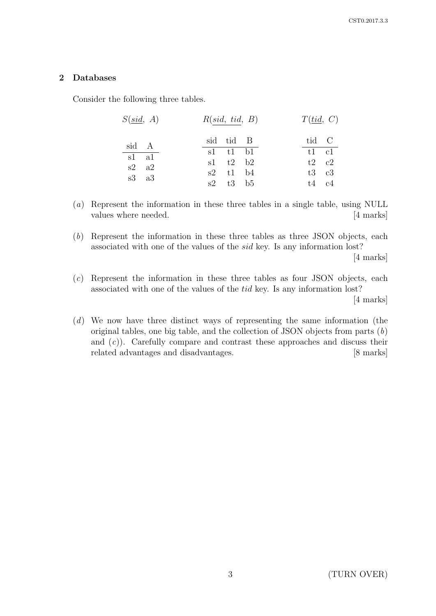# 2 Databases

Consider the following three tables.

| $S(\underline{sid}, A)$ | R(sid, tid, B) | T(tid, C)        |
|-------------------------|----------------|------------------|
| sid A                   | sid tid B      | tid C            |
| s1 a1                   | $sl$ t1 b1     | $t1 \quad c1$    |
| $s2 \text{ a}2$         | $s1$ $t2$ $b2$ | $t2 \quad c2$    |
| $s3 \text{ a}3$         | $s2$ t1 b4     | $t3 \text{ } c3$ |
|                         | $s2$ $t3$ $b5$ | $t4$ $c4$        |
|                         |                |                  |

(a) Represent the information in these three tables in a single table, using NULL values where needed. [4 marks]

(b) Represent the information in these three tables as three JSON objects, each associated with one of the values of the sid key. Is any information lost?

[4 marks]

- $(c)$  Represent the information in these three tables as four JSON objects, each associated with one of the values of the tid key. Is any information lost? [4 marks]
- (d) We now have three distinct ways of representing the same information (the original tables, one big table, and the collection of JSON objects from parts (b) and  $(c)$ ). Carefully compare and contrast these approaches and discuss their related advantages and disadvantages. [8 marks]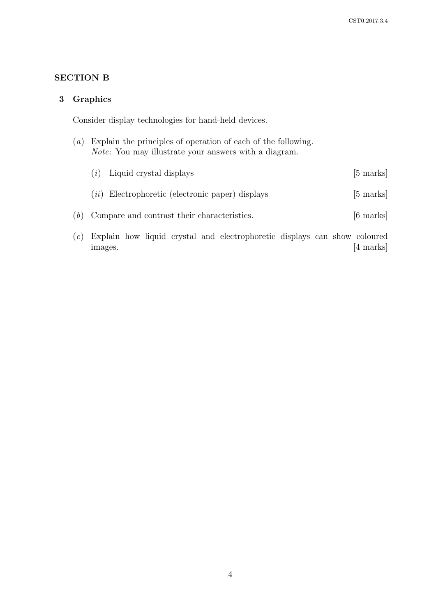# SECTION B

### 3 Graphics

Consider display technologies for hand-held devices.

- (a) Explain the principles of operation of each of the following. Note: You may illustrate your answers with a diagram.
- $(i)$  Liquid crystal displays [5 marks]  $(ii)$  Electrophoretic (electronic paper) displays [5 marks] (b) Compare and contrast their characteristics. [6 marks]
- (c) Explain how liquid crystal and electrophoretic displays can show coloured images. [4 marks]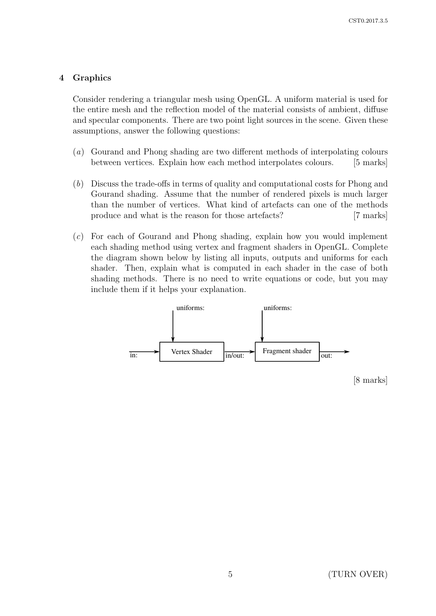### 4 Graphics

Consider rendering a triangular mesh using OpenGL. A uniform material is used for the entire mesh and the reflection model of the material consists of ambient, diffuse and specular components. There are two point light sources in the scene. Given these assumptions, answer the following questions:

- (a) Gourand and Phong shading are two different methods of interpolating colours between vertices. Explain how each method interpolates colours. [5 marks]
- (b) Discuss the trade-offs in terms of quality and computational costs for Phong and Gourand shading. Assume that the number of rendered pixels is much larger than the number of vertices. What kind of artefacts can one of the methods produce and what is the reason for those artefacts? [7 marks]
- (c) For each of Gourand and Phong shading, explain how you would implement each shading method using vertex and fragment shaders in OpenGL. Complete the diagram shown below by listing all inputs, outputs and uniforms for each shader. Then, explain what is computed in each shader in the case of both shading methods. There is no need to write equations or code, but you may include them if it helps your explanation.

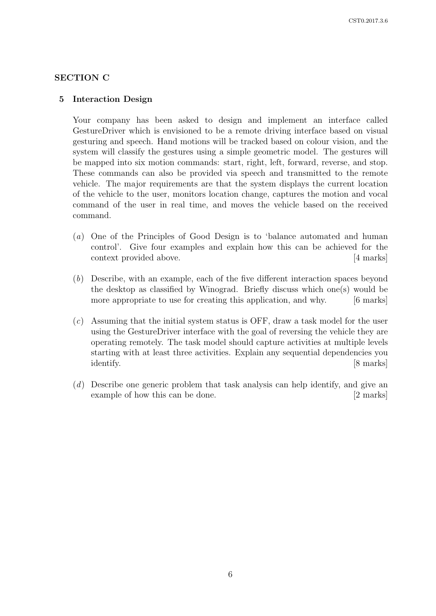### SECTION C

#### 5 Interaction Design

Your company has been asked to design and implement an interface called GestureDriver which is envisioned to be a remote driving interface based on visual gesturing and speech. Hand motions will be tracked based on colour vision, and the system will classify the gestures using a simple geometric model. The gestures will be mapped into six motion commands: start, right, left, forward, reverse, and stop. These commands can also be provided via speech and transmitted to the remote vehicle. The major requirements are that the system displays the current location of the vehicle to the user, monitors location change, captures the motion and vocal command of the user in real time, and moves the vehicle based on the received command.

- (a) One of the Principles of Good Design is to 'balance automated and human control'. Give four examples and explain how this can be achieved for the context provided above. [4 marks]
- (b) Describe, with an example, each of the five different interaction spaces beyond the desktop as classified by Winograd. Briefly discuss which one(s) would be more appropriate to use for creating this application, and why. [6 marks]
- (c) Assuming that the initial system status is OFF, draw a task model for the user using the GestureDriver interface with the goal of reversing the vehicle they are operating remotely. The task model should capture activities at multiple levels starting with at least three activities. Explain any sequential dependencies you identify. [8 marks]
- (d) Describe one generic problem that task analysis can help identify, and give an example of how this can be done. [2 marks]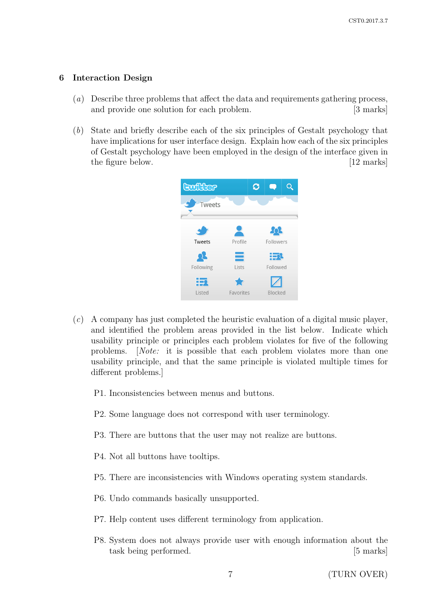### 6 Interaction Design

- (a) Describe three problems that affect the data and requirements gathering process, and provide one solution for each problem. [3 marks]
- (b) State and briefly describe each of the six principles of Gestalt psychology that have implications for user interface design. Explain how each of the six principles of Gestalt psychology have been employed in the design of the interface given in the figure below. [12 marks]



- (c) A company has just completed the heuristic evaluation of a digital music player, and identified the problem areas provided in the list below. Indicate which usability principle or principles each problem violates for five of the following problems. [Note: it is possible that each problem violates more than one usability principle, and that the same principle is violated multiple times for different problems.]
	- P1. Inconsistencies between menus and buttons.
	- P2. Some language does not correspond with user terminology.
	- P3. There are buttons that the user may not realize are buttons.
	- P4. Not all buttons have tooltips.
	- P5. There are inconsistencies with Windows operating system standards.
	- P6. Undo commands basically unsupported.
	- P7. Help content uses different terminology from application.
	- P8. System does not always provide user with enough information about the task being performed. [5 marks]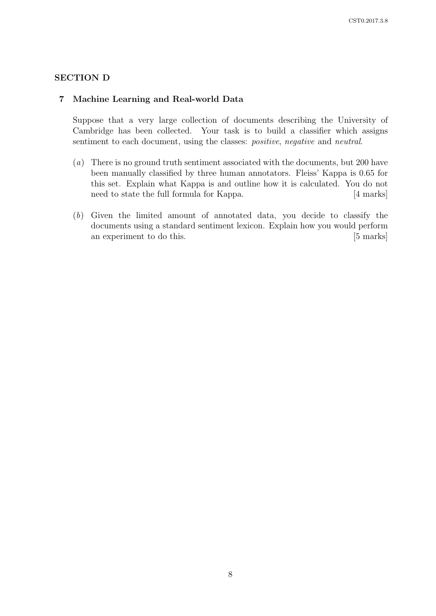## SECTION D

### 7 Machine Learning and Real-world Data

Suppose that a very large collection of documents describing the University of Cambridge has been collected. Your task is to build a classifier which assigns sentiment to each document, using the classes: *positive*, *negative* and *neutral*.

- (a) There is no ground truth sentiment associated with the documents, but 200 have been manually classified by three human annotators. Fleiss' Kappa is 0.65 for this set. Explain what Kappa is and outline how it is calculated. You do not need to state the full formula for Kappa. [4 marks]
- (b) Given the limited amount of annotated data, you decide to classify the documents using a standard sentiment lexicon. Explain how you would perform an experiment to do this. [5 marks]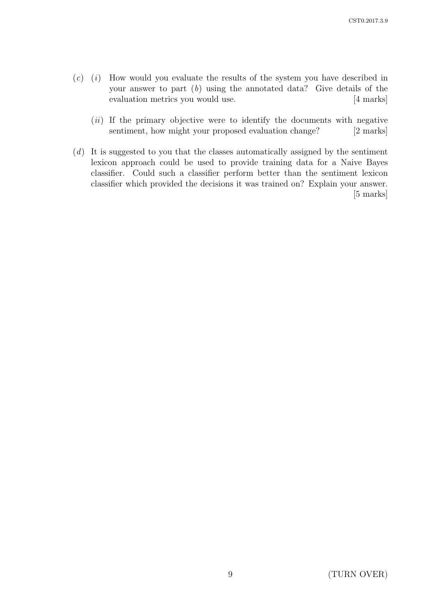- $(c)$  (i) How would you evaluate the results of the system you have described in your answer to part  $(b)$  using the annotated data? Give details of the evaluation metrics you would use. [4 marks]
	- $(ii)$  If the primary objective were to identify the documents with negative sentiment, how might your proposed evaluation change? [2 marks]
- (d) It is suggested to you that the classes automatically assigned by the sentiment lexicon approach could be used to provide training data for a Naive Bayes classifier. Could such a classifier perform better than the sentiment lexicon classifier which provided the decisions it was trained on? Explain your answer. [5 marks]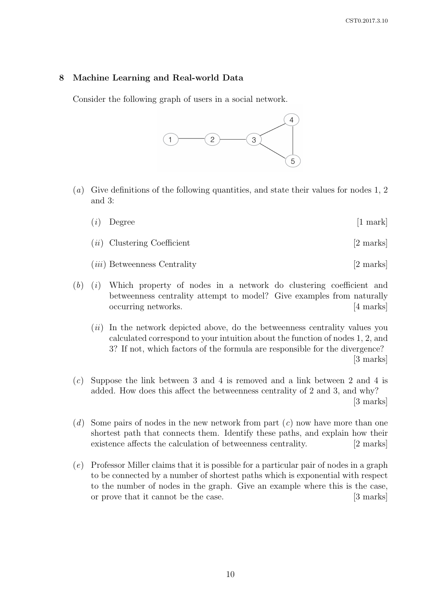### 8 Machine Learning and Real-world Data

Consider the following graph of users in a social network.



- (a) Give definitions of the following quantities, and state their values for nodes 1, 2 and 3:
	- $(i)$  Degree [1 mark]
	- $(ii)$  Clustering Coefficient [2 marks]
	- (*iii*) Betweenness Centrality [2 marks]
- $(b)$  (i) Which property of nodes in a network do clustering coefficient and betweenness centrality attempt to model? Give examples from naturally occurring networks. [4 marks]
	- $(ii)$  In the network depicted above, do the betweenness centrality values you calculated correspond to your intuition about the function of nodes 1, 2, and 3? If not, which factors of the formula are responsible for the divergence? [3 marks]
- (c) Suppose the link between 3 and 4 is removed and a link between 2 and 4 is added. How does this affect the betweenness centrality of 2 and 3, and why? [3 marks]
- (d) Some pairs of nodes in the new network from part  $(c)$  now have more than one shortest path that connects them. Identify these paths, and explain how their existence affects the calculation of betweenness centrality. [2 marks]
- (e) Professor Miller claims that it is possible for a particular pair of nodes in a graph to be connected by a number of shortest paths which is exponential with respect to the number of nodes in the graph. Give an example where this is the case, or prove that it cannot be the case. [3 marks]